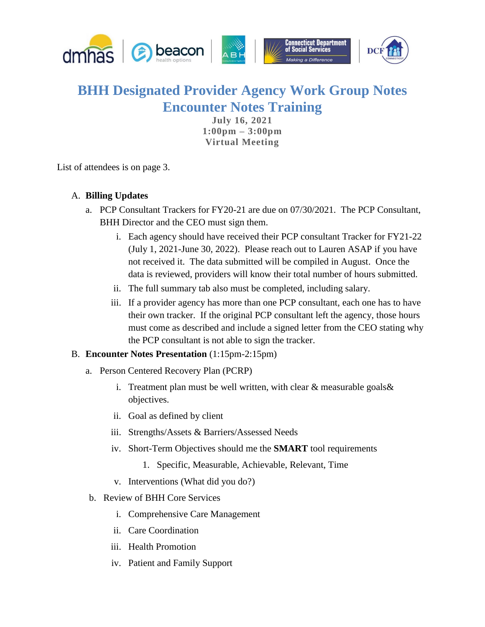

## **BHH Designated Provider Agency Work Group Notes Encounter Notes Training**

**July 16, 2021 1:00pm – 3:00pm Virtual Meeting**

List of attendees is on page 3.

## A. **Billing Updates**

- a. PCP Consultant Trackers for FY20-21 are due on 07/30/2021. The PCP Consultant, BHH Director and the CEO must sign them.
	- i. Each agency should have received their PCP consultant Tracker for FY21-22 (July 1, 2021-June 30, 2022). Please reach out to Lauren ASAP if you have not received it. The data submitted will be compiled in August. Once the data is reviewed, providers will know their total number of hours submitted.
	- ii. The full summary tab also must be completed, including salary.
	- iii. If a provider agency has more than one PCP consultant, each one has to have their own tracker. If the original PCP consultant left the agency, those hours must come as described and include a signed letter from the CEO stating why the PCP consultant is not able to sign the tracker.

## B. **Encounter Notes Presentation** (1:15pm-2:15pm)

- a. Person Centered Recovery Plan (PCRP)
	- i. Treatment plan must be well written, with clear  $&$  measurable goals  $&$ objectives.
	- ii. Goal as defined by client
	- iii. Strengths/Assets & Barriers/Assessed Needs
	- iv. Short-Term Objectives should me the **SMART** tool requirements
		- 1. Specific, Measurable, Achievable, Relevant, Time
	- v. Interventions (What did you do?)
- b. Review of BHH Core Services
	- i. Comprehensive Care Management
	- ii. Care Coordination
	- iii. Health Promotion
	- iv. Patient and Family Support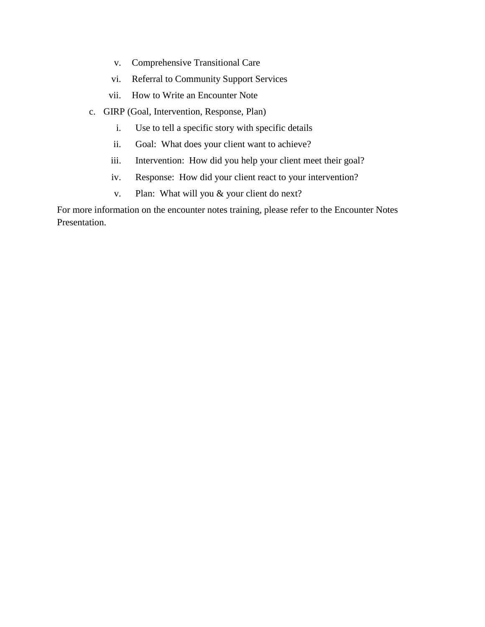- v. Comprehensive Transitional Care
- vi. Referral to Community Support Services
- vii. How to Write an Encounter Note
- c. GIRP (Goal, Intervention, Response, Plan)
	- i. Use to tell a specific story with specific details
	- ii. Goal: What does your client want to achieve?
	- iii. Intervention: How did you help your client meet their goal?
	- iv. Response: How did your client react to your intervention?
	- v. Plan: What will you & your client do next?

For more information on the encounter notes training, please refer to the Encounter Notes Presentation.